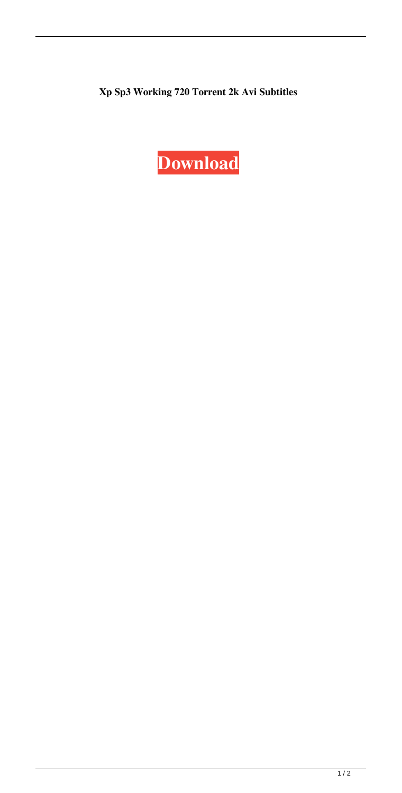## **Xp Sp3 Working 720 Torrent 2k Avi Subtitles**